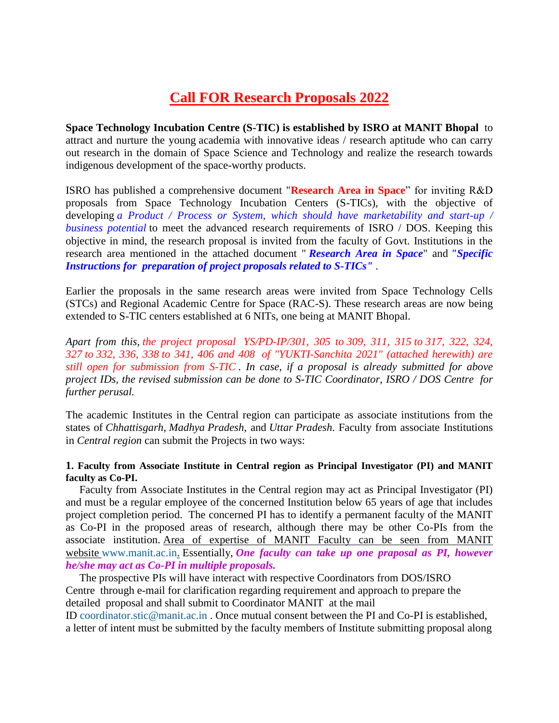# **Call FOR Research Proposals 2022**

**Space Technology Incubation Centre (S-TIC) is established by ISRO at MANIT Bhopal** to attract and nurture the young academia with innovative ideas / research aptitude who can carry out research in the domain of Space Science and Technology and realize the research towards indigenous development of the space-worthy products.

ISRO has published a comprehensive document "**Research Area in Space**" for inviting R&D proposals from Space Technology Incubation Centers (S-TICs), with the objective of developing *a Product / Process or System, which should have marketability and start-up / business potential* to meet the advanced research requirements of ISRO / DOS. Keeping this objective in mind, the research proposal is invited from the faculty of Govt. Institutions in the research area mentioned in the attached document " *Research Area in Space*" and *"Specific Instructions for preparation of project proposals related to S-TICs"* .

Earlier the proposals in the same research areas were invited from Space Technology Cells (STCs) and Regional Academic Centre for Space (RAC-S). These research areas are now being extended to S-TIC centers established at 6 NITs, one being at MANIT Bhopal.

*Apart from this, the project proposal YS/PD-IP/301, 305 to [309, 311, 315](callto:309,%20311,%20315) to [317, 322, 324,](callto:317,%20322,%20324,%20327)  [327](callto:317,%20322,%20324,%20327) to [332, 336, 338](callto:332,%20336,%20338) to 341, 406 and 408 of "YUKTI-Sanchita 2021" (attached herewith) are still open for submission from S-TIC . In case, if a proposal is already submitted for above project IDs, the revised submission can be done to S-TIC Coordinator, ISRO / DOS Centre for further perusal.*

The academic Institutes in the Central region can participate as associate institutions from the states of *Chhattisgarh*, *Madhya Pradesh*, and *Uttar Pradesh*. Faculty from associate Institutions in *Central region* can submit the Projects in two ways:

#### **1. Faculty from Associate Institute in Central region as Principal Investigator (PI) and MANIT faculty as Co-PI.**

 Faculty from Associate Institutes in the Central region may act as Principal Investigator (PI) and must be a regular employee of the concerned Institution below 65 years of age that includes project completion period. The concerned PI has to identify a permanent faculty of the MANIT as Co-PI in the proposed areas of research, although there may be other Co-PIs from the associate institution. Area of expertise of MANIT Faculty can be seen from MANIT website [www.manit.ac.in.](http://www.manit.ac.in/) Essentially, *One faculty can take up one praposal as PI, however he/she may act as Co-PI in multiple proposals.*

 The prospective PIs will have interact with respective Coordinators from DOS/ISRO Centre through e-mail for clarification regarding requirement and approach to prepare the detailed proposal and shall submit to Coordinator MANIT at the mail

ID [coordinator.stic@manit.ac.in](mailto:coordinator.stic@manit.ac.in) . Once mutual consent between the PI and Co-PI is established, a letter of intent must be submitted by the faculty members of Institute submitting proposal along